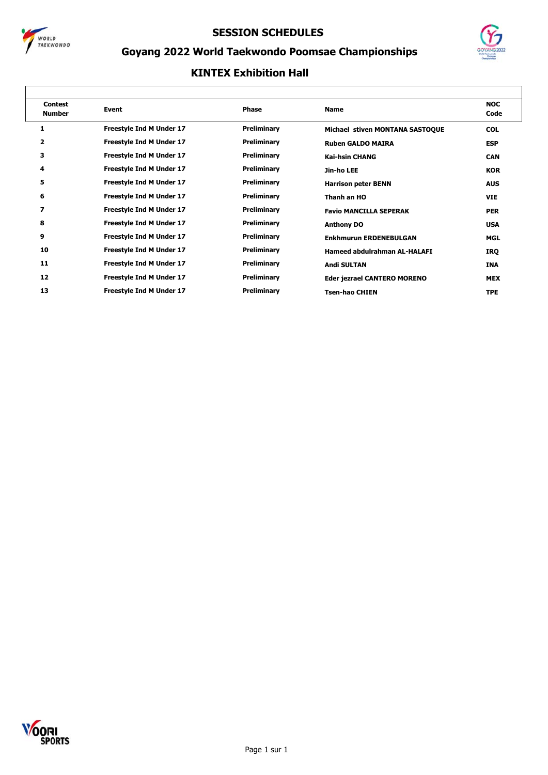



# **Goyang 2022 World Taekwondo Poomsae Championships**

| <b>Contest</b><br><b>Number</b> | Event                           | <b>Phase</b> | <b>Name</b>                        | <b>NOC</b><br>Code |
|---------------------------------|---------------------------------|--------------|------------------------------------|--------------------|
| 1                               | <b>Freestyle Ind M Under 17</b> | Preliminary  | Michael stiven MONTANA SASTOQUE    | <b>COL</b>         |
| 2                               | Freestyle Ind M Under 17        | Preliminary  | <b>Ruben GALDO MAIRA</b>           | <b>ESP</b>         |
| з                               | Freestyle Ind M Under 17        | Preliminary  | <b>Kai-hsin CHANG</b>              | <b>CAN</b>         |
| 4                               | Freestyle Ind M Under 17        | Preliminary  | Jin-ho LEE                         | <b>KOR</b>         |
| 5                               | <b>Freestyle Ind M Under 17</b> | Preliminary  | <b>Harrison peter BENN</b>         | <b>AUS</b>         |
| 6                               | <b>Freestyle Ind M Under 17</b> | Preliminary  | Thanh an HO                        | <b>VIE</b>         |
| 7                               | Freestyle Ind M Under 17        | Preliminary  | <b>Favio MANCILLA SEPERAK</b>      | <b>PER</b>         |
| 8                               | Freestyle Ind M Under 17        | Preliminary  | <b>Anthony DO</b>                  | <b>USA</b>         |
| 9                               | Freestyle Ind M Under 17        | Preliminary  | <b>Enkhmurun ERDENEBULGAN</b>      | MGL                |
| 10                              | <b>Freestyle Ind M Under 17</b> | Preliminary  | Hameed abdulrahman AL-HALAFI       | IRQ                |
| 11                              | <b>Freestyle Ind M Under 17</b> | Preliminary  | <b>Andi SULTAN</b>                 | INA                |
| 12                              | Freestyle Ind M Under 17        | Preliminary  | <b>Eder jezrael CANTERO MORENO</b> | <b>MEX</b>         |
| 13                              | <b>Freestyle Ind M Under 17</b> | Preliminary  | <b>Tsen-hao CHIEN</b>              | <b>TPE</b>         |

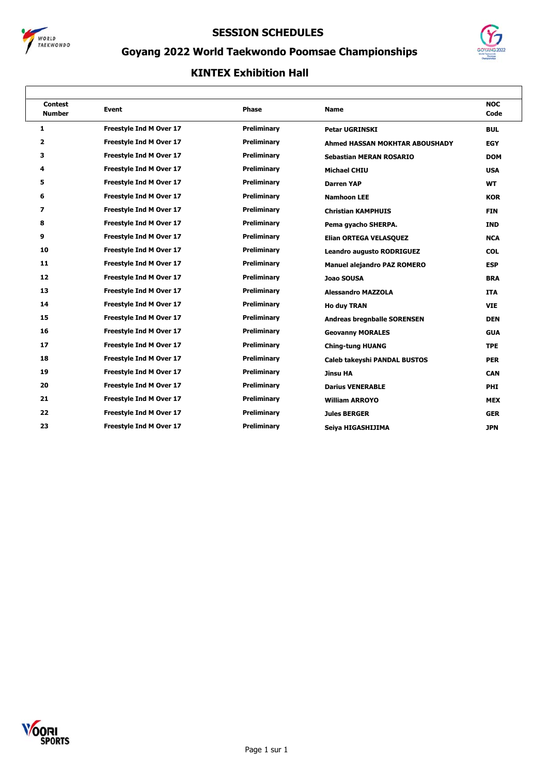



# **Goyang 2022 World Taekwondo Poomsae Championships**

| <b>Contest</b><br><b>Number</b> | <b>Event</b>                   | <b>Phase</b>       | <b>Name</b>                        | <b>NOC</b><br>Code |
|---------------------------------|--------------------------------|--------------------|------------------------------------|--------------------|
| 1                               | Freestyle Ind M Over 17        | <b>Preliminary</b> | <b>Petar UGRINSKI</b>              | <b>BUL</b>         |
| 2                               | Freestyle Ind M Over 17        | <b>Preliminary</b> | Ahmed HASSAN MOKHTAR ABOUSHADY     | <b>EGY</b>         |
| з                               | Freestyle Ind M Over 17        | Preliminary        | <b>Sebastian MERAN ROSARIO</b>     | <b>DOM</b>         |
| 4                               | <b>Freestyle Ind M Over 17</b> | <b>Preliminary</b> | <b>Michael CHIU</b>                | <b>USA</b>         |
| 5                               | Freestyle Ind M Over 17        | <b>Preliminary</b> | <b>Darren YAP</b>                  | <b>WT</b>          |
| 6                               | <b>Freestyle Ind M Over 17</b> | Preliminary        | <b>Namhoon LEE</b>                 | <b>KOR</b>         |
| 7                               | Freestyle Ind M Over 17        | Preliminary        | <b>Christian KAMPHUIS</b>          | <b>FIN</b>         |
| 8                               | Freestyle Ind M Over 17        | <b>Preliminary</b> | Pema gyacho SHERPA.                | <b>IND</b>         |
| 9                               | Freestyle Ind M Over 17        | <b>Preliminary</b> | <b>Elian ORTEGA VELASQUEZ</b>      | <b>NCA</b>         |
| 10                              | <b>Freestyle Ind M Over 17</b> | Preliminary        | <b>Leandro augusto RODRIGUEZ</b>   | <b>COL</b>         |
| 11                              | Freestyle Ind M Over 17        | Preliminary        | <b>Manuel alejandro PAZ ROMERO</b> | <b>ESP</b>         |
| 12                              | <b>Freestyle Ind M Over 17</b> | <b>Preliminary</b> | Joao SOUSA                         | <b>BRA</b>         |
| 13                              | Freestyle Ind M Over 17        | <b>Preliminary</b> | <b>Alessandro MAZZOLA</b>          | <b>ITA</b>         |
| 14                              | <b>Freestyle Ind M Over 17</b> | Preliminary        | <b>Ho duy TRAN</b>                 | <b>VIE</b>         |
| 15                              | Freestyle Ind M Over 17        | Preliminary        | <b>Andreas bregnballe SORENSEN</b> | <b>DEN</b>         |
| 16                              | Freestyle Ind M Over 17        | <b>Preliminary</b> | <b>Geovanny MORALES</b>            | <b>GUA</b>         |
| 17                              | Freestyle Ind M Over 17        | <b>Preliminary</b> | <b>Ching-tung HUANG</b>            | <b>TPE</b>         |
| 18                              | Freestyle Ind M Over 17        | Preliminary        | Caleb takeyshi PANDAL BUSTOS       | <b>PER</b>         |
| 19                              | Freestyle Ind M Over 17        | Preliminary        | <b>Jinsu HA</b>                    | <b>CAN</b>         |
| 20                              | Freestyle Ind M Over 17        | <b>Preliminary</b> | <b>Darius VENERABLE</b>            | PHI                |
| 21                              | Freestyle Ind M Over 17        | <b>Preliminary</b> | <b>William ARROYO</b>              | <b>MEX</b>         |
| 22                              | <b>Freestyle Ind M Over 17</b> | Preliminary        | <b>Jules BERGER</b>                | <b>GER</b>         |
| 23                              | Freestyle Ind M Over 17        | <b>Preliminary</b> | Seiya HIGASHIJIMA                  | <b>JPN</b>         |
|                                 |                                |                    |                                    |                    |

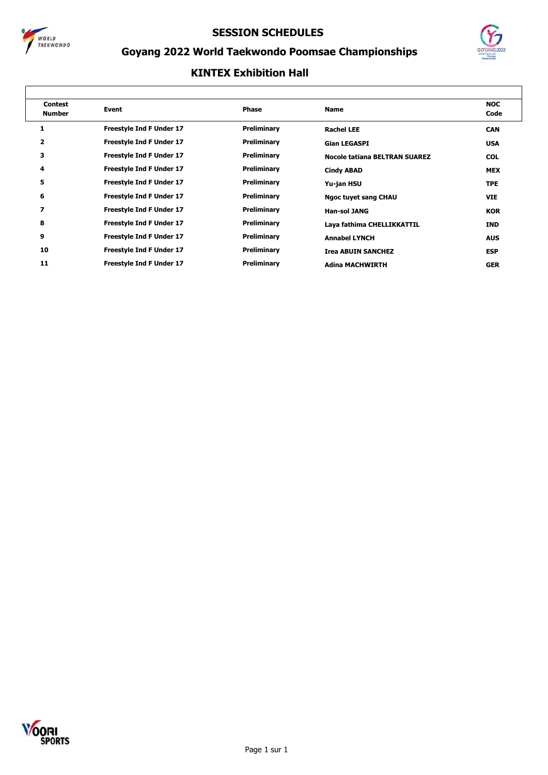



# **Goyang 2022 World Taekwondo Poomsae Championships**

| <b>Contest</b><br><b>Number</b> | Event                           | Phase       | <b>Name</b>                          | <b>NOC</b><br>Code |
|---------------------------------|---------------------------------|-------------|--------------------------------------|--------------------|
| 1                               | <b>Freestyle Ind F Under 17</b> | Preliminary | <b>Rachel LEE</b>                    | <b>CAN</b>         |
| 2                               | <b>Freestyle Ind F Under 17</b> | Preliminary | <b>Gian LEGASPI</b>                  | <b>USA</b>         |
| 3                               | <b>Freestyle Ind F Under 17</b> | Preliminary | <b>Nocole tatiana BELTRAN SUAREZ</b> | <b>COL</b>         |
| 4                               | <b>Freestyle Ind F Under 17</b> | Preliminary | <b>Cindy ABAD</b>                    | <b>MEX</b>         |
| 5                               | <b>Freestyle Ind F Under 17</b> | Preliminary | Yu-jan HSU                           | <b>TPE</b>         |
| 6                               | <b>Freestyle Ind F Under 17</b> | Preliminary | <b>Ngoc tuyet sang CHAU</b>          | <b>VIE</b>         |
| 7                               | <b>Freestyle Ind F Under 17</b> | Preliminary | <b>Han-sol JANG</b>                  | <b>KOR</b>         |
| 8                               | <b>Freestyle Ind F Under 17</b> | Preliminary | Laya fathima CHELLIKKATTIL           | <b>IND</b>         |
| 9                               | <b>Freestyle Ind F Under 17</b> | Preliminary | <b>Annabel LYNCH</b>                 | <b>AUS</b>         |
| 10                              | <b>Freestyle Ind F Under 17</b> | Preliminary | <b>Irea ABUIN SANCHEZ</b>            | <b>ESP</b>         |
| 11                              | <b>Freestyle Ind F Under 17</b> | Preliminary | <b>Adina MACHWIRTH</b>               | <b>GER</b>         |

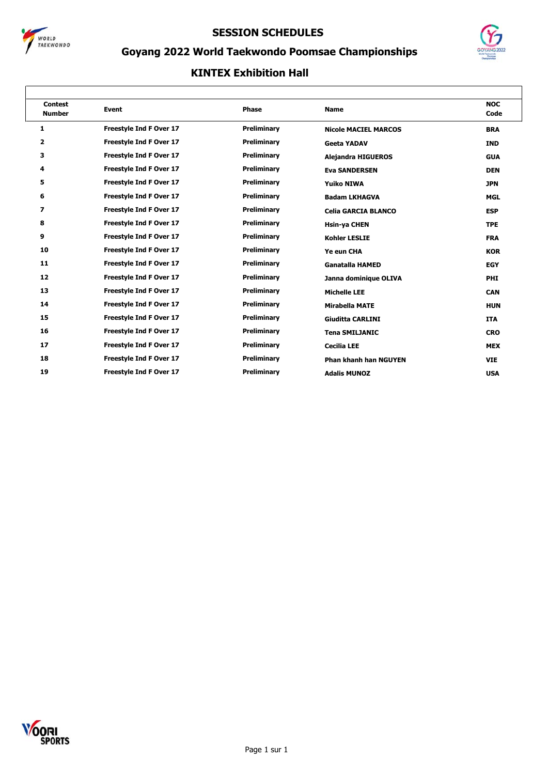



# **Goyang 2022 World Taekwondo Poomsae Championships**

| <b>Contest</b><br><b>Number</b> | <b>Event</b>                   | <b>Phase</b>       | <b>Name</b>                  | <b>NOC</b><br>Code |
|---------------------------------|--------------------------------|--------------------|------------------------------|--------------------|
| 1                               | <b>Freestyle Ind F Over 17</b> | Preliminary        | <b>Nicole MACIEL MARCOS</b>  | <b>BRA</b>         |
| 2                               | <b>Freestyle Ind F Over 17</b> | Preliminary        | <b>Geeta YADAV</b>           | <b>IND</b>         |
| з                               | Freestyle Ind F Over 17        | Preliminary        | <b>Alejandra HIGUEROS</b>    | <b>GUA</b>         |
| 4                               | <b>Freestyle Ind F Over 17</b> | Preliminary        | <b>Eva SANDERSEN</b>         | <b>DEN</b>         |
| 5                               | <b>Freestyle Ind F Over 17</b> | <b>Preliminary</b> | <b>Yuiko NIWA</b>            | <b>JPN</b>         |
| 6                               | <b>Freestyle Ind F Over 17</b> | Preliminary        | <b>Badam LKHAGVA</b>         | <b>MGL</b>         |
| 7                               | Freestyle Ind F Over 17        | Preliminary        | <b>Celia GARCIA BLANCO</b>   | <b>ESP</b>         |
| 8                               | <b>Freestyle Ind F Over 17</b> | Preliminary        | <b>Hsin-ya CHEN</b>          | <b>TPE</b>         |
| 9                               | <b>Freestyle Ind F Over 17</b> | Preliminary        | <b>Kohler LESLIE</b>         | <b>FRA</b>         |
| 10                              | <b>Freestyle Ind F Over 17</b> | Preliminary        | Ye eun CHA                   | <b>KOR</b>         |
| 11                              | <b>Freestyle Ind F Over 17</b> | Preliminary        | <b>Ganatalla HAMED</b>       | <b>EGY</b>         |
| 12                              | <b>Freestyle Ind F Over 17</b> | Preliminary        | Janna dominique OLIVA        | <b>PHI</b>         |
| 13                              | Freestyle Ind F Over 17        | Preliminary        | <b>Michelle LEE</b>          | <b>CAN</b>         |
| 14                              | Freestyle Ind F Over 17        | Preliminary        | <b>Mirabella MATE</b>        | <b>HUN</b>         |
| 15                              | <b>Freestyle Ind F Over 17</b> | Preliminary        | <b>Giuditta CARLINI</b>      | <b>ITA</b>         |
| 16                              | <b>Freestyle Ind F Over 17</b> | Preliminary        | <b>Tena SMILJANIC</b>        | <b>CRO</b>         |
| 17                              | Freestyle Ind F Over 17        | Preliminary        | <b>Cecilia LEE</b>           | <b>MEX</b>         |
| 18                              | Freestyle Ind F Over 17        | Preliminary        | <b>Phan khanh han NGUYEN</b> | <b>VIE</b>         |
| 19                              | Freestyle Ind F Over 17        | Preliminary        | <b>Adalis MUNOZ</b>          | <b>USA</b>         |

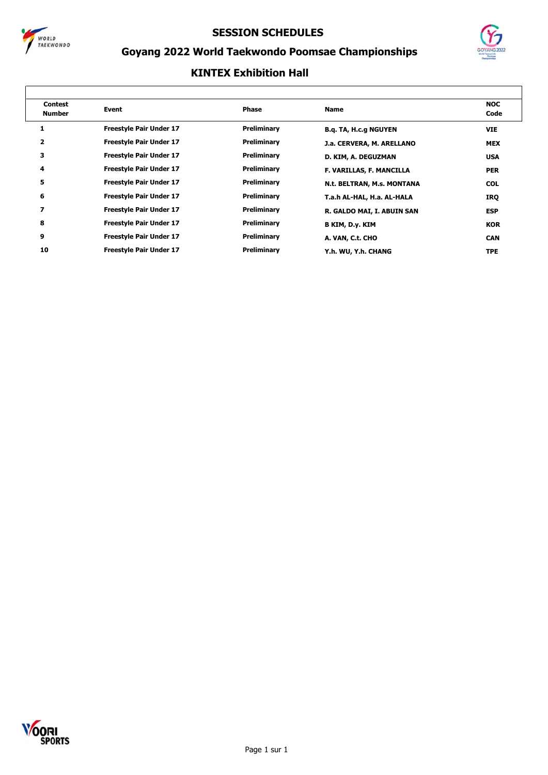



# **Goyang 2022 World Taekwondo Poomsae Championships**

| <b>Contest</b><br><b>Number</b> | Event                          | Phase       | <b>Name</b>                  | <b>NOC</b><br>Code |
|---------------------------------|--------------------------------|-------------|------------------------------|--------------------|
| 1                               | <b>Freestyle Pair Under 17</b> | Preliminary | <b>B.q. TA, H.c.g NGUYEN</b> | <b>VIE</b>         |
| 2                               | <b>Freestyle Pair Under 17</b> | Preliminary | J.a. CERVERA, M. ARELLANO    | <b>MEX</b>         |
| 3                               | <b>Freestyle Pair Under 17</b> | Preliminary | D. KIM, A. DEGUZMAN          | <b>USA</b>         |
| 4                               | <b>Freestyle Pair Under 17</b> | Preliminary | F. VARILLAS, F. MANCILLA     | <b>PER</b>         |
| 5                               | <b>Freestyle Pair Under 17</b> | Preliminary | N.t. BELTRAN, M.s. MONTANA   | <b>COL</b>         |
| 6                               | <b>Freestyle Pair Under 17</b> | Preliminary | T.a.h AL-HAL, H.a. AL-HALA   | IRQ                |
| 7                               | <b>Freestyle Pair Under 17</b> | Preliminary | R. GALDO MAI, I. ABUIN SAN   | <b>ESP</b>         |
| 8                               | <b>Freestyle Pair Under 17</b> | Preliminary | B KIM, D.y. KIM              | <b>KOR</b>         |
| 9                               | <b>Freestyle Pair Under 17</b> | Preliminary | A. VAN, C.t. CHO             | <b>CAN</b>         |
| 10                              | <b>Freestyle Pair Under 17</b> | Preliminary | Y.h. WU, Y.h. CHANG          | <b>TPE</b>         |

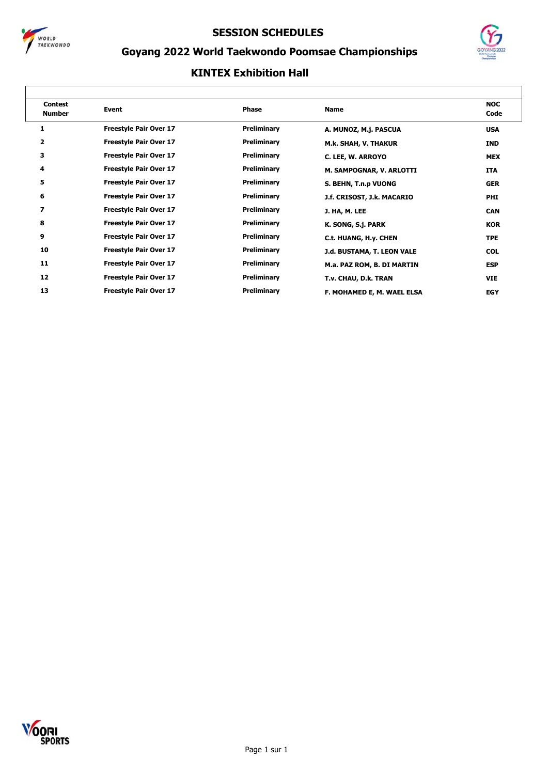



# **Goyang 2022 World Taekwondo Poomsae Championships**

| <b>Contest</b><br><b>Number</b> | <b>Event</b>                  | Phase       | <b>Name</b>                | <b>NOC</b><br>Code |
|---------------------------------|-------------------------------|-------------|----------------------------|--------------------|
| 1                               | <b>Freestyle Pair Over 17</b> | Preliminary | A. MUNOZ, M.j. PASCUA      | <b>USA</b>         |
| 2                               | <b>Freestyle Pair Over 17</b> | Preliminary | M.k. SHAH, V. THAKUR       | <b>IND</b>         |
| 3                               | <b>Freestyle Pair Over 17</b> | Preliminary | C. LEE, W. ARROYO          | <b>MEX</b>         |
| 4                               | <b>Freestyle Pair Over 17</b> | Preliminary | M. SAMPOGNAR, V. ARLOTTI   | <b>ITA</b>         |
| 5                               | <b>Freestyle Pair Over 17</b> | Preliminary | S. BEHN, T.n.p VUONG       | <b>GER</b>         |
| 6                               | <b>Freestyle Pair Over 17</b> | Preliminary | J.f. CRISOST, J.k. MACARIO | <b>PHI</b>         |
| 7                               | <b>Freestyle Pair Over 17</b> | Preliminary | J. HA, M. LEE              | <b>CAN</b>         |
| 8                               | <b>Freestyle Pair Over 17</b> | Preliminary | K. SONG, S.j. PARK         | <b>KOR</b>         |
| 9                               | <b>Freestyle Pair Over 17</b> | Preliminary | C.t. HUANG, H.y. CHEN      | <b>TPE</b>         |
| 10                              | <b>Freestyle Pair Over 17</b> | Preliminary | J.d. BUSTAMA, T. LEON VALE | <b>COL</b>         |
| 11                              | <b>Freestyle Pair Over 17</b> | Preliminary | M.a. PAZ ROM, B. DI MARTIN | <b>ESP</b>         |
| 12                              | <b>Freestyle Pair Over 17</b> | Preliminary | T.v. CHAU, D.k. TRAN       | <b>VIE</b>         |
| 13                              | <b>Freestyle Pair Over 17</b> | Preliminary | F. MOHAMED E, M. WAEL ELSA | <b>EGY</b>         |

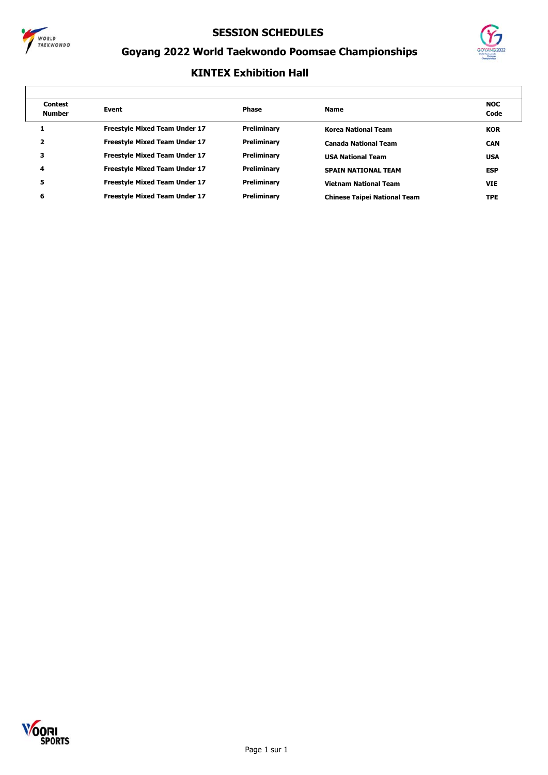



# **Goyang 2022 World Taekwondo Poomsae Championships**

| <b>Contest</b><br><b>Number</b> | Event                                | Phase       | <b>Name</b>                         | <b>NOC</b><br>Code |
|---------------------------------|--------------------------------------|-------------|-------------------------------------|--------------------|
|                                 | <b>Freestyle Mixed Team Under 17</b> | Preliminary | <b>Korea National Team</b>          | <b>KOR</b>         |
|                                 | <b>Freestyle Mixed Team Under 17</b> | Preliminary | <b>Canada National Team</b>         | <b>CAN</b>         |
| з                               | <b>Freestyle Mixed Team Under 17</b> | Preliminary | <b>USA National Team</b>            | <b>USA</b>         |
| 4                               | <b>Freestyle Mixed Team Under 17</b> | Preliminary | <b>SPAIN NATIONAL TEAM</b>          | <b>ESP</b>         |
| 5                               | <b>Freestyle Mixed Team Under 17</b> | Preliminary | <b>Vietnam National Team</b>        | <b>VIE</b>         |
| 6                               | <b>Freestyle Mixed Team Under 17</b> | Preliminary | <b>Chinese Taipei National Team</b> | <b>TPE</b>         |
|                                 |                                      |             |                                     |                    |